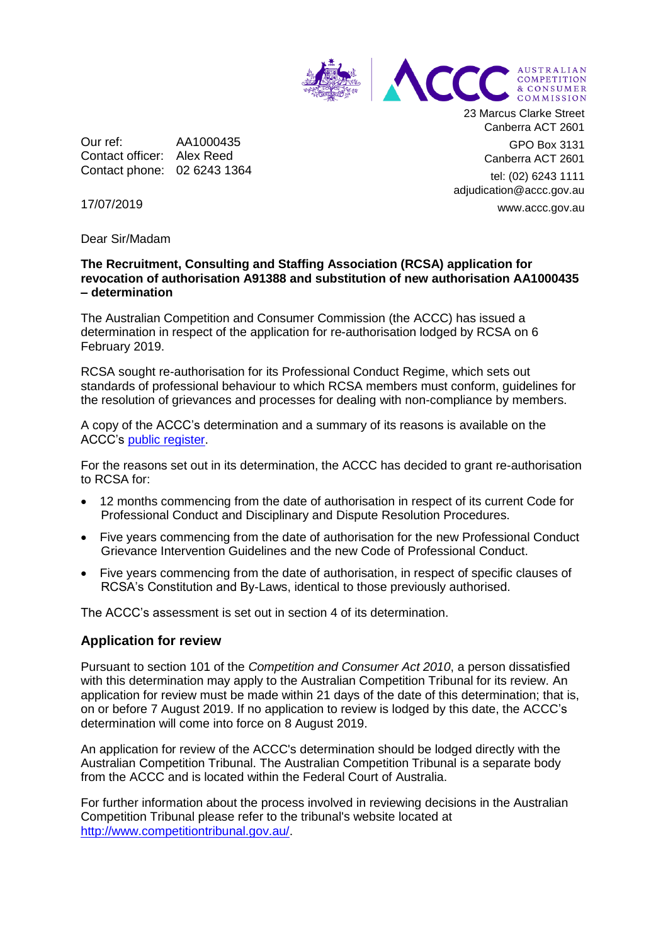

Our ref: AA1000435 Contact officer: Alex Reed Contact phone: 02 6243 1364 23 Marcus Clarke Street Canberra ACT 2601

> GPO Box 3131 Canberra ACT 2601

tel: (02) 6243 1111 adjudication@accc.gov.au www.accc.gov.au

17/07/2019

Dear Sir/Madam

## **The Recruitment, Consulting and Staffing Association (RCSA) application for revocation of authorisation A91388 and substitution of new authorisation AA1000435 – determination**

The Australian Competition and Consumer Commission (the ACCC) has issued a determination in respect of the application for re-authorisation lodged by RCSA on 6 February 2019.

RCSA sought re-authorisation for its Professional Conduct Regime, which sets out standards of professional behaviour to which RCSA members must conform, guidelines for the resolution of grievances and processes for dealing with non-compliance by members.

A copy of the ACCC's determination and a summary of its reasons is available on the ACCC's [public register.](https://www.accc.gov.au/public-registers/authorisations-and-notifications-registers/authorisations-register/recruitment-consulting-staffing-association)

For the reasons set out in its determination, the ACCC has decided to grant re-authorisation to RCSA for:

- 12 months commencing from the date of authorisation in respect of its current Code for Professional Conduct and Disciplinary and Dispute Resolution Procedures.
- Five years commencing from the date of authorisation for the new Professional Conduct Grievance Intervention Guidelines and the new Code of Professional Conduct.
- Five years commencing from the date of authorisation, in respect of specific clauses of RCSA's Constitution and By-Laws, identical to those previously authorised.

The ACCC's assessment is set out in section 4 of its determination.

## **Application for review**

Pursuant to section 101 of the *Competition and Consumer Act 2010*, a person dissatisfied with this determination may apply to the Australian Competition Tribunal for its review. An application for review must be made within 21 days of the date of this determination; that is, on or before 7 August 2019. If no application to review is lodged by this date, the ACCC's determination will come into force on 8 August 2019.

An application for review of the ACCC's determination should be lodged directly with the Australian Competition Tribunal. The Australian Competition Tribunal is a separate body from the ACCC and is located within the Federal Court of Australia.

For further information about the process involved in reviewing decisions in the Australian Competition Tribunal please refer to the tribunal's website located at [http://www.competitiontribunal.gov.au/.](http://www.competitiontribunal.gov.au/)